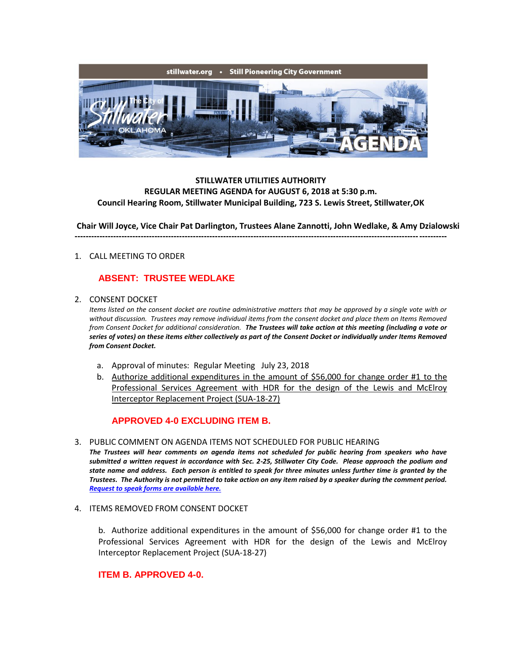

## **STILLWATER UTILITIES AUTHORITY REGULAR MEETING AGENDA for AUGUST 6, 2018 at 5:30 p.m. Council Hearing Room, Stillwater Municipal Building, 723 S. Lewis Street, Stillwater,OK**

**---------------------------------------------------------------------------------------------------------------------------------------**

**Chair Will Joyce, Vice Chair Pat Darlington, Trustees Alane Zannotti, John Wedlake, & Amy Dzialowski**

### 1. CALL MEETING TO ORDER

# **ABSENT: TRUSTEE WEDLAKE**

#### 2. CONSENT DOCKET

*Items listed on the consent docket are routine administrative matters that may be approved by a single vote with or without discussion. Trustees may remove individual items from the consent docket and place them on Items Removed from Consent Docket for additional consideration. The Trustees will take action at this meeting (including a vote or series of votes) on these items either collectively as part of the Consent Docket or individually under Items Removed from Consent Docket.*

- a. Approval of minutes: Regular Meeting July 23, 2018
- b. Authorize additional expenditures in the amount of \$56,000 for change order #1 to the Professional Services Agreement with HDR for the design of the Lewis and McElroy Interceptor Replacement Project (SUA-18-27)

### **APPROVED 4-0 EXCLUDING ITEM B.**

#### 3. PUBLIC COMMENT ON AGENDA ITEMS NOT SCHEDULED FOR PUBLIC HEARING

*The Trustees will hear comments on agenda items not scheduled for public hearing from speakers who have submitted a written request in accordance with Sec. 2-25, Stillwater City Code. Please approach the podium and state name and address. Each person is entitled to speak for three minutes unless further time is granted by the Trustees. The Authority is not permitted to take action on any item raised by a speaker during the comment period. [Request to speak forms are available here.](http://stillwater.org/document/request_to_speak_at_city_council.php)*

#### 4. ITEMS REMOVED FROM CONSENT DOCKET

b. Authorize additional expenditures in the amount of \$56,000 for change order #1 to the Professional Services Agreement with HDR for the design of the Lewis and McElroy Interceptor Replacement Project (SUA-18-27)

## **ITEM B. APPROVED 4-0.**